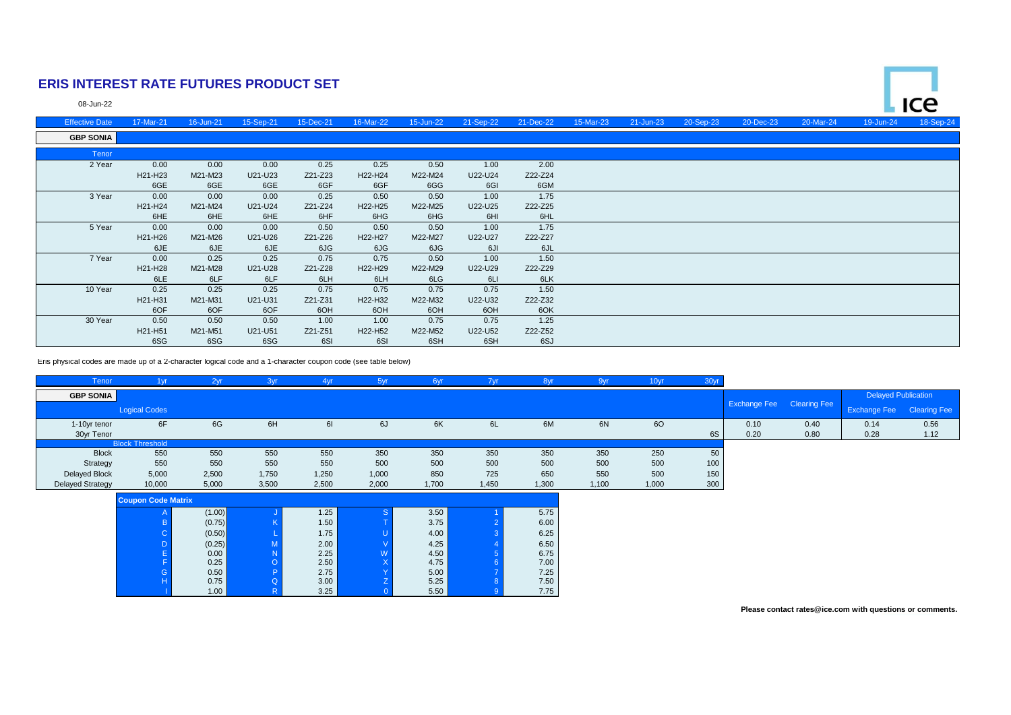## **ERIS INTEREST RATE FUTURES PRODUCT SET**

08-Jun-22

| <b>Effective Date</b> | 17-Mar-21 | 16-Jun-21 | 15-Sep-21 | 15-Dec-21 | 16-Mar-22 | 15-Jun-22 | 21-Sep-22 | 21-Dec-22 | 15-Mar-23 | 21-Jun-23 | 20-Sep-23 | 20-Dec-23 | 20-Mar-24 | 19-Jun-24 | 18-Sep-24 |
|-----------------------|-----------|-----------|-----------|-----------|-----------|-----------|-----------|-----------|-----------|-----------|-----------|-----------|-----------|-----------|-----------|
| <b>GBP SONIA</b>      |           |           |           |           |           |           |           |           |           |           |           |           |           |           |           |
| Tenor                 |           |           |           |           |           |           |           |           |           |           |           |           |           |           |           |
| 2 Year                | 0.00      | 0.00      | 0.00      | 0.25      | 0.25      | 0.50      | 1.00      | 2.00      |           |           |           |           |           |           |           |
|                       | H21-H23   | M21-M23   | U21-U23   | Z21-Z23   | H22-H24   | M22-M24   | U22-U24   | Z22-Z24   |           |           |           |           |           |           |           |
|                       | 6GE       | 6GE       | 6GE       | 6GF       | 6GF       | 6GG       | 6GI       | 6GM       |           |           |           |           |           |           |           |
| 3 Year                | 0.00      | 0.00      | 0.00      | 0.25      | 0.50      | 0.50      | 1.00      | 1.75      |           |           |           |           |           |           |           |
|                       | H21-H24   | M21-M24   | U21-U24   | Z21-Z24   | H22-H25   | M22-M25   | U22-U25   | Z22-Z25   |           |           |           |           |           |           |           |
|                       | 6HE       | 6HE       | 6HE       | 6HF       | 6HG       | 6HG       | 6HI       | 6HL       |           |           |           |           |           |           |           |
| 5 Year                | 0.00      | 0.00      | 0.00      | 0.50      | 0.50      | 0.50      | 1.00      | 1.75      |           |           |           |           |           |           |           |
|                       | H21-H26   | M21-M26   | U21-U26   | Z21-Z26   | H22-H27   | M22-M27   | U22-U27   | Z22-Z27   |           |           |           |           |           |           |           |
|                       | 6JE       | 6JE       | 6JE       | 6JG       | 6JG       | 6JG       | 6JI       | 6JL       |           |           |           |           |           |           |           |
| 7 Year                | 0.00      | 0.25      | 0.25      | 0.75      | 0.75      | 0.50      | 1.00      | 1.50      |           |           |           |           |           |           |           |
|                       | H21-H28   | M21-M28   | U21-U28   | Z21-Z28   | H22-H29   | M22-M29   | U22-U29   | Z22-Z29   |           |           |           |           |           |           |           |
|                       | 6LE       | 6LF       | 6LF       | 6LH       | 6LH       | 6LG       | 6LI       | 6LK       |           |           |           |           |           |           |           |
| 10 Year               | 0.25      | 0.25      | 0.25      | 0.75      | 0.75      | 0.75      | 0.75      | 1.50      |           |           |           |           |           |           |           |
|                       | H21-H31   | M21-M31   | U21-U31   | Z21-Z31   | H22-H32   | M22-M32   | U22-U32   | Z22-Z32   |           |           |           |           |           |           |           |
|                       | 6OF       | 6OF       | 6OF       | 6OH       | 6OH       | 6OH       | 6OH       | 6OK       |           |           |           |           |           |           |           |
| 30 Year               | 0.50      | 0.50      | 0.50      | 1.00      | 1.00      | 0.75      | 0.75      | 1.25      |           |           |           |           |           |           |           |
|                       | H21-H51   | M21-M51   | U21-U51   | Z21-Z51   | H22-H52   | M22-M52   | U22-U52   | Z22-Z52   |           |           |           |           |           |           |           |
|                       | 6SG       | 6SG       | 6SG       | 6SI       | 6SI       | 6SH       | 6SH       | 6SJ       |           |           |           |           |           |           |           |

Eris physical codes are made up of a 2-character logical code and a 1-character coupon code (see table below)

| Tenor                   | 1 <sub>yr</sub>           | 2yr    | 3yr   | 4yr   | 5yr          | 6yr   | 7yr   | 8yr   | 9yr   | 10yr  | 30yr |                                  |      |                                  |      |
|-------------------------|---------------------------|--------|-------|-------|--------------|-------|-------|-------|-------|-------|------|----------------------------------|------|----------------------------------|------|
| <b>GBP SONIA</b>        |                           |        |       |       |              |       |       |       |       |       |      |                                  |      | <b>Delayed Publication</b>       |      |
|                         | <b>Logical Codes</b>      |        |       |       |              |       |       |       |       |       |      | <b>Exchange Fee</b> Clearing Fee |      | <b>Exchange Fee</b> Clearing Fee |      |
| 1-10yr tenor            | 6F                        | 6G     | 6H    | 61    | 6J           | 6K    | 6L    | 6M    | 6N    | 60    |      | 0.10                             | 0.40 | 0.14                             | 0.56 |
| 30yr Tenor              |                           |        |       |       |              |       |       |       |       |       | 6S   | 0.20                             | 0.80 | 0.28                             | 1.12 |
|                         | <b>Block Threshold</b>    |        |       |       |              |       |       |       |       |       |      |                                  |      |                                  |      |
| <b>Block</b>            | 550                       | 550    | 550   | 550   | 350          | 350   | 350   | 350   | 350   | 250   | 50   |                                  |      |                                  |      |
| Strategy                | 550                       | 550    | 550   | 550   | 500          | 500   | 500   | 500   | 500   | 500   | 100  |                                  |      |                                  |      |
| Delayed Block           | 5,000                     | 2,500  | 1,750 | 1,250 | 1,000        | 850   | 725   | 650   | 550   | 500   | 150  |                                  |      |                                  |      |
| <b>Delayed Strategy</b> | 10,000                    | 5,000  | 3,500 | 2,500 | 2,000        | 1,700 | 1,450 | 1,300 | 1,100 | 1,000 | 300  |                                  |      |                                  |      |
|                         | <b>Coupon Code Matrix</b> |        |       |       |              |       |       |       |       |       |      |                                  |      |                                  |      |
|                         |                           | (1.00) |       | 1.25  | <sub>S</sub> | 3.50  |       | 5.75  |       |       |      |                                  |      |                                  |      |
|                         |                           | (0.75) |       | 1.50  |              | 3.75  |       | 6.00  |       |       |      |                                  |      |                                  |      |
|                         |                           | (0.50) |       | 1.75  |              | 4.00  |       | 6.25  |       |       |      |                                  |      |                                  |      |
|                         |                           | (0.25) |       | 2.00  |              | 4.25  |       | 6.50  |       |       |      |                                  |      |                                  |      |
|                         |                           | 0.00   |       | 2.25  | W            | 4.50  |       | 6.75  |       |       |      |                                  |      |                                  |      |
|                         |                           | 0.25   |       | 2.50  | $\mathsf{X}$ | 4.75  |       | 7.00  |       |       |      |                                  |      |                                  |      |
|                         |                           | 0.50   |       | 2.75  |              | 5.00  |       | 7.25  |       |       |      |                                  |      |                                  |      |
|                         |                           | 0.75   |       | 3.00  |              | 5.25  |       | 7.50  |       |       |      |                                  |      |                                  |      |
|                         |                           | 1.00   |       | 3.25  |              | 5.50  |       | 7.75  |       |       |      |                                  |      |                                  |      |

**Please contact rates@ice.com with questions or comments.**